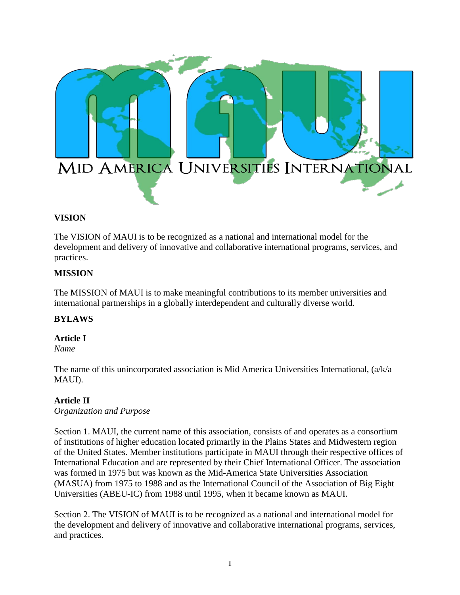

## **VISION**

The VISION of MAUI is to be recognized as a national and international model for the development and delivery of innovative and collaborative international programs, services, and practices.

## **MISSION**

The MISSION of MAUI is to make meaningful contributions to its member universities and international partnerships in a globally interdependent and culturally diverse world.

## **BYLAWS**

#### **Article I**

*Name*

The name of this unincorporated association is Mid America Universities International, (a/k/a MAUI).

#### **Article II**

*Organization and Purpose*

Section 1. MAUI, the current name of this association, consists of and operates as a consortium of institutions of higher education located primarily in the Plains States and Midwestern region of the United States. Member institutions participate in MAUI through their respective offices of International Education and are represented by their Chief International Officer. The association was formed in 1975 but was known as the Mid-America State Universities Association (MASUA) from 1975 to 1988 and as the International Council of the Association of Big Eight Universities (ABEU-IC) from 1988 until 1995, when it became known as MAUI.

Section 2. The VISION of MAUI is to be recognized as a national and international model for the development and delivery of innovative and collaborative international programs, services, and practices.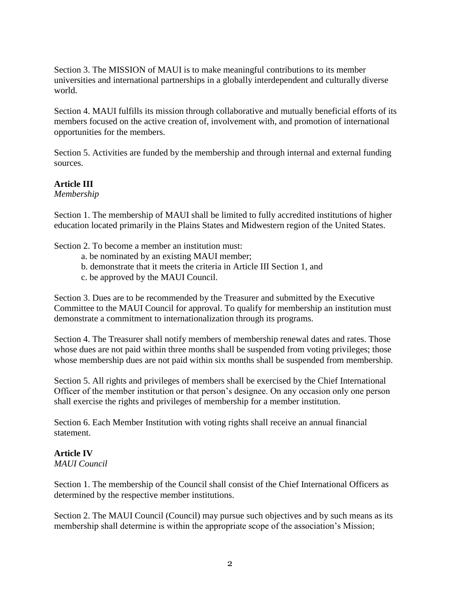Section 3. The MISSION of MAUI is to make meaningful contributions to its member universities and international partnerships in a globally interdependent and culturally diverse world.

Section 4. MAUI fulfills its mission through collaborative and mutually beneficial efforts of its members focused on the active creation of, involvement with, and promotion of international opportunities for the members.

Section 5. Activities are funded by the membership and through internal and external funding sources.

## **Article III**

*Membership*

Section 1. The membership of MAUI shall be limited to fully accredited institutions of higher education located primarily in the Plains States and Midwestern region of the United States.

Section 2. To become a member an institution must:

- a. be nominated by an existing MAUI member;
- b. demonstrate that it meets the criteria in Article III Section 1, and
- c. be approved by the MAUI Council.

Section 3. Dues are to be recommended by the Treasurer and submitted by the Executive Committee to the MAUI Council for approval. To qualify for membership an institution must demonstrate a commitment to internationalization through its programs.

Section 4. The Treasurer shall notify members of membership renewal dates and rates. Those whose dues are not paid within three months shall be suspended from voting privileges; those whose membership dues are not paid within six months shall be suspended from membership.

Section 5. All rights and privileges of members shall be exercised by the Chief International Officer of the member institution or that person's designee. On any occasion only one person shall exercise the rights and privileges of membership for a member institution.

Section 6. Each Member Institution with voting rights shall receive an annual financial statement.

## **Article IV**

*MAUI Council*

Section 1. The membership of the Council shall consist of the Chief International Officers as determined by the respective member institutions.

Section 2. The MAUI Council (Council) may pursue such objectives and by such means as its membership shall determine is within the appropriate scope of the association's Mission;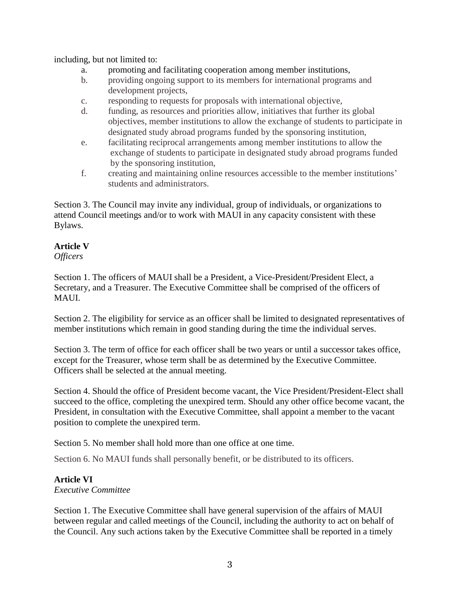including, but not limited to:

- a. promoting and facilitating cooperation among member institutions,
- b. providing ongoing support to its members for international programs and development projects,
- c. responding to requests for proposals with international objective,
- d. funding, as resources and priorities allow, initiatives that further its global objectives, member institutions to allow the exchange of students to participate in designated study abroad programs funded by the sponsoring institution,
- e. facilitating reciprocal arrangements among member institutions to allow the exchange of students to participate in designated study abroad programs funded by the sponsoring institution,
- f. creating and maintaining online resources accessible to the member institutions' students and administrators.

Section 3. The Council may invite any individual, group of individuals, or organizations to attend Council meetings and/or to work with MAUI in any capacity consistent with these Bylaws.

# **Article V**

*Officers*

Section 1. The officers of MAUI shall be a President, a Vice-President/President Elect, a Secretary, and a Treasurer. The Executive Committee shall be comprised of the officers of MAUI.

Section 2. The eligibility for service as an officer shall be limited to designated representatives of member institutions which remain in good standing during the time the individual serves.

Section 3. The term of office for each officer shall be two years or until a successor takes office, except for the Treasurer, whose term shall be as determined by the Executive Committee. Officers shall be selected at the annual meeting.

Section 4. Should the office of President become vacant, the Vice President/President-Elect shall succeed to the office, completing the unexpired term. Should any other office become vacant, the President, in consultation with the Executive Committee, shall appoint a member to the vacant position to complete the unexpired term.

Section 5. No member shall hold more than one office at one time.

Section 6. No MAUI funds shall personally benefit, or be distributed to its officers.

## **Article VI**

#### *Executive Committee*

Section 1. The Executive Committee shall have general supervision of the affairs of MAUI between regular and called meetings of the Council, including the authority to act on behalf of the Council. Any such actions taken by the Executive Committee shall be reported in a timely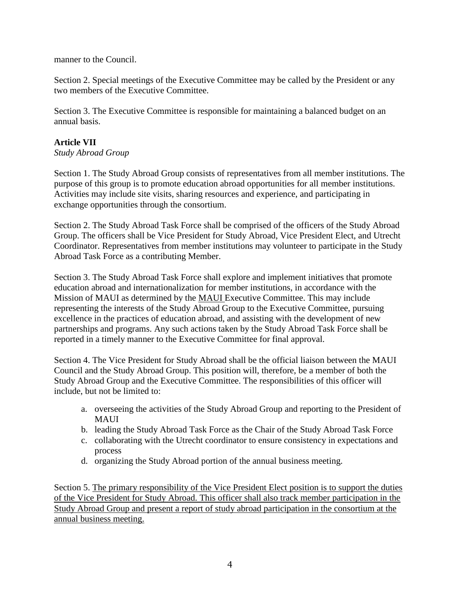manner to the Council.

Section 2. Special meetings of the Executive Committee may be called by the President or any two members of the Executive Committee.

Section 3. The Executive Committee is responsible for maintaining a balanced budget on an annual basis.

# **Article VII**

*Study Abroad Group*

Section 1. The Study Abroad Group consists of representatives from all member institutions. The purpose of this group is to promote education abroad opportunities for all member institutions. Activities may include site visits, sharing resources and experience, and participating in exchange opportunities through the consortium.

Section 2. The Study Abroad Task Force shall be comprised of the officers of the Study Abroad Group. The officers shall be Vice President for Study Abroad, Vice President Elect, and Utrecht Coordinator. Representatives from member institutions may volunteer to participate in the Study Abroad Task Force as a contributing Member.

Section 3. The Study Abroad Task Force shall explore and implement initiatives that promote education abroad and internationalization for member institutions, in accordance with the Mission of MAUI as determined by the MAUI Executive Committee. This may include representing the interests of the Study Abroad Group to the Executive Committee, pursuing excellence in the practices of education abroad, and assisting with the development of new partnerships and programs. Any such actions taken by the Study Abroad Task Force shall be reported in a timely manner to the Executive Committee for final approval.

Section 4. The Vice President for Study Abroad shall be the official liaison between the MAUI Council and the Study Abroad Group. This position will, therefore, be a member of both the Study Abroad Group and the Executive Committee. The responsibilities of this officer will include, but not be limited to:

- a. overseeing the activities of the Study Abroad Group and reporting to the President of MAUI
- b. leading the Study Abroad Task Force as the Chair of the Study Abroad Task Force
- c. collaborating with the Utrecht coordinator to ensure consistency in expectations and process
- d. organizing the Study Abroad portion of the annual business meeting.

Section 5. The primary responsibility of the Vice President Elect position is to support the duties of the Vice President for Study Abroad. This officer shall also track member participation in the Study Abroad Group and present a report of study abroad participation in the consortium at the annual business meeting.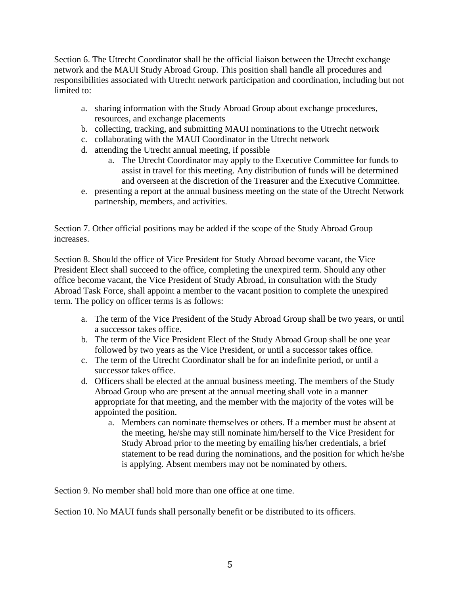Section 6. The Utrecht Coordinator shall be the official liaison between the Utrecht exchange network and the MAUI Study Abroad Group. This position shall handle all procedures and responsibilities associated with Utrecht network participation and coordination, including but not limited to:

- a. sharing information with the Study Abroad Group about exchange procedures, resources, and exchange placements
- b. collecting, tracking, and submitting MAUI nominations to the Utrecht network
- c. collaborating with the MAUI Coordinator in the Utrecht network
- d. attending the Utrecht annual meeting, if possible
	- a. The Utrecht Coordinator may apply to the Executive Committee for funds to assist in travel for this meeting. Any distribution of funds will be determined and overseen at the discretion of the Treasurer and the Executive Committee.
- e. presenting a report at the annual business meeting on the state of the Utrecht Network partnership, members, and activities.

Section 7. Other official positions may be added if the scope of the Study Abroad Group increases.

Section 8. Should the office of Vice President for Study Abroad become vacant, the Vice President Elect shall succeed to the office, completing the unexpired term. Should any other office become vacant, the Vice President of Study Abroad, in consultation with the Study Abroad Task Force, shall appoint a member to the vacant position to complete the unexpired term. The policy on officer terms is as follows:

- a. The term of the Vice President of the Study Abroad Group shall be two years, or until a successor takes office.
- b. The term of the Vice President Elect of the Study Abroad Group shall be one year followed by two years as the Vice President, or until a successor takes office.
- c. The term of the Utrecht Coordinator shall be for an indefinite period, or until a successor takes office.
- d. Officers shall be elected at the annual business meeting. The members of the Study Abroad Group who are present at the annual meeting shall vote in a manner appropriate for that meeting, and the member with the majority of the votes will be appointed the position.
	- a. Members can nominate themselves or others. If a member must be absent at the meeting, he/she may still nominate him/herself to the Vice President for Study Abroad prior to the meeting by emailing his/her credentials, a brief statement to be read during the nominations, and the position for which he/she is applying. Absent members may not be nominated by others.

Section 9. No member shall hold more than one office at one time.

Section 10. No MAUI funds shall personally benefit or be distributed to its officers.